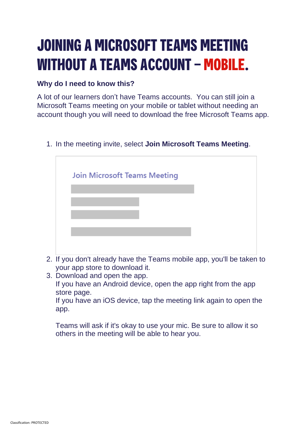## **JOINING A MICROSOFT TEAMS MEETING WITHOUT A TEAMS ACCOUNT – MOBILE.**

## **Why do I need to know this?**

A lot of our learners don't have Teams accounts. You can still join a Microsoft Teams meeting on your mobile or tablet without needing an account though you will need to download the free Microsoft Teams app.

1. In the meeting invite, select **Join Microsoft Teams Meeting**.

- 2. If you don't already have the Teams mobile app, you'll be taken to your app store to download it.
- 3. Download and open the app. If you have an Android device, open the app right from the app store page.

If you have an iOS device, tap the meeting link again to open the app.

Teams will ask if it's okay to use your mic. Be sure to allow it so others in the meeting will be able to hear you.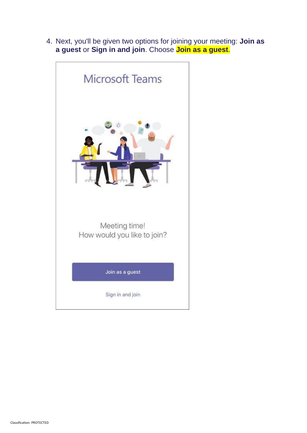4. Next, you'll be given two options for joining your meeting: **Join as a guest** or **Sign in and join**. Choose **Join as a guest**.

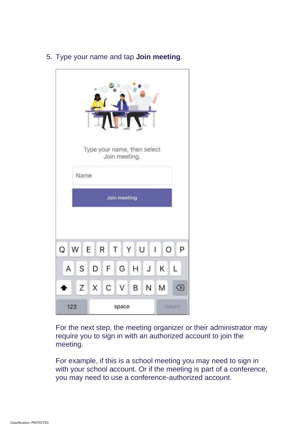|                                                      | Name |       |   | Join meeting. | Type your name, then select |         |        |    |  |
|------------------------------------------------------|------|-------|---|---------------|-----------------------------|---------|--------|----|--|
| Join meeting                                         |      |       |   |               |                             |         |        |    |  |
| U<br>Q<br>W E R<br>$\perp$<br>$\circ$<br>P<br>T<br>Y |      |       |   |               |                             |         |        |    |  |
| Α                                                    | S    | D     | F | G             | H                           | $\sf J$ | Κ      | L  |  |
|                                                      |      | Z X C |   | $\vee$        | В                           | N       | M      | ख़ |  |
| 123                                                  |      | space |   |               |                             |         | return |    |  |

5. Type your name and tap **Join meeting**.

For the next step, the meeting organizer or their administrator may require you to sign in with an authorized account to join the meeting.

For example, if this is a school meeting you may need to sign in with your school account. Or if the meeting is part of a conference, you may need to use a conference-authorized account.